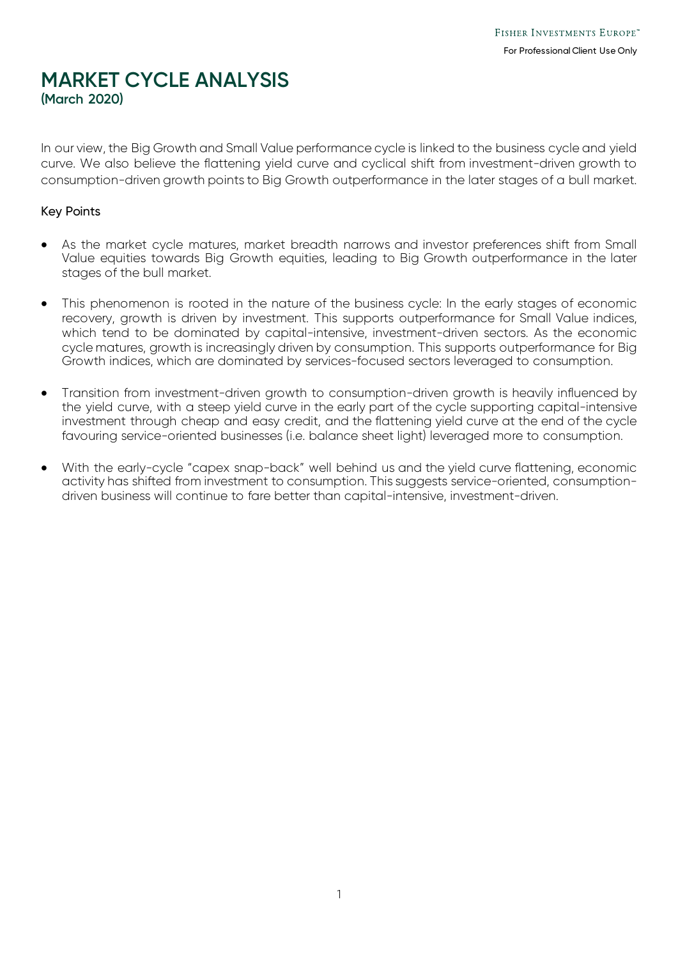## **MARKET CYCLE ANALYSIS (March 2020)**

In our view, the Big Growth and Small Value performance cycle is linked to the business cycle and yield curve. We also believe the flattening yield curve and cyclical shift from investment-driven growth to consumption-driven growth points to Big Growth outperformance in the later stages of a bull market.

#### Key Points

- As the market cycle matures, market breadth narrows and investor preferences shift from Small Value equities towards Big Growth equities, leading to Big Growth outperformance in the later stages of the bull market.
- This phenomenon is rooted in the nature of the business cycle: In the early stages of economic recovery, growth is driven by investment. This supports outperformance for Small Value indices, which tend to be dominated by capital-intensive, investment-driven sectors. As the economic cycle matures, growth is increasingly driven by consumption. This supports outperformance for Big Growth indices, which are dominated by services-focused sectors leveraged to consumption.
- Transition from investment-driven growth to consumption-driven growth is heavily influenced by the yield curve, with a steep yield curve in the early part of the cycle supporting capital-intensive investment through cheap and easy credit, and the flattening yield curve at the end of the cycle favouring service-oriented businesses (i.e. balance sheet light) leveraged more to consumption.
- With the early-cycle "capex snap-back" well behind us and the yield curve flattening, economic activity has shifted from investment to consumption. This suggests service-oriented, consumptiondriven business will continue to fare better than capital-intensive, investment-driven.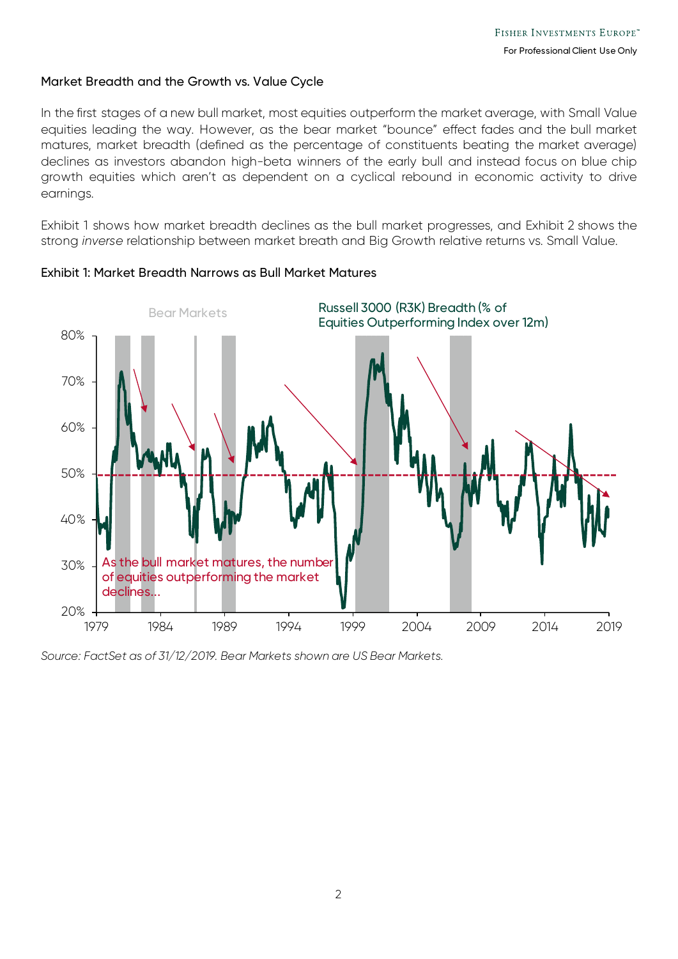#### Market Breadth and the Growth vs. Value Cycle

In the first stages of a new bull market, most equities outperform the market average, with Small Value equities leading the way. However, as the bear market "bounce" effect fades and the bull market matures, market breadth (defined as the percentage of constituents beating the market average) declines as investors abandon high-beta winners of the early bull and instead focus on blue chip growth equities which aren't as dependent on a cyclical rebound in economic activity to drive earnings.

Exhibit 1 shows how market breadth declines as the bull market progresses, and Exhibit 2 shows the strong *inverse* relationship between market breath and Big Growth relative returns vs. Small Value.



Exhibit 1: Market Breadth Narrows as Bull Market Matures

*Source: FactSet as of 31/12/2019. Bear Markets shown are US Bear Markets.*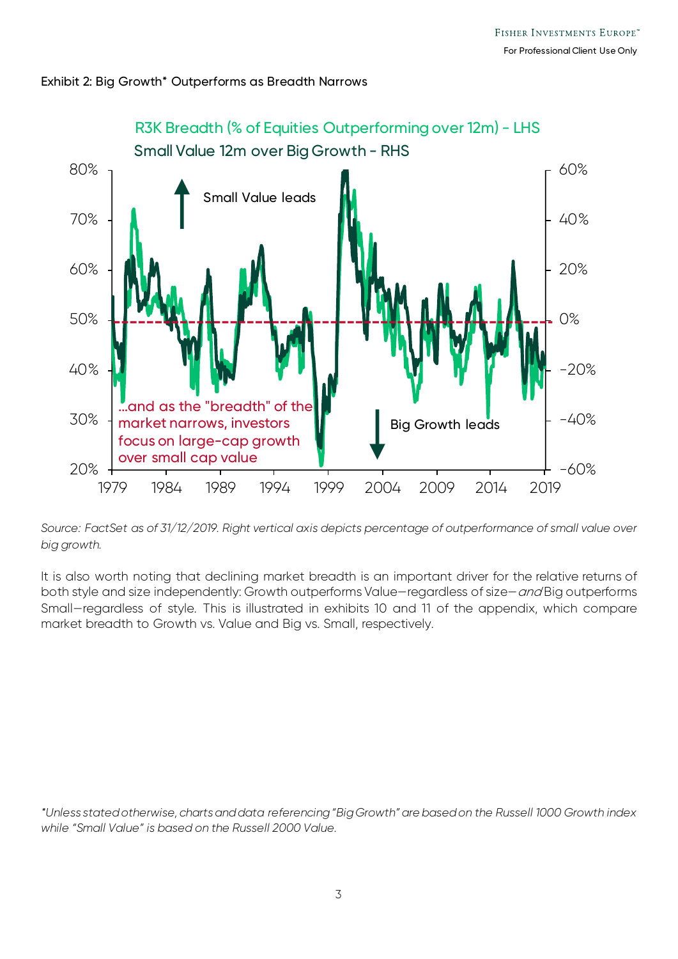



*Source: FactSet as of 31/12/2019. Right vertical axis depicts percentage of outperformance of small value over big growth.*

It is also worth noting that declining market breadth is an important driver for the relative returns of both style and size independently: Growth outperforms Value-regardless of size-and Big outperforms Small—regardless of style. This is illustrated in exhibits 10 and 11 of the appendix, which compare market breadth to Growth vs. Value and Big vs. Small, respectively.

*\*Unless stated otherwise, charts and data referencing "Big Growth" are based on the Russell 1000 Growth index while "Small Value" is based on the Russell 2000 Value.*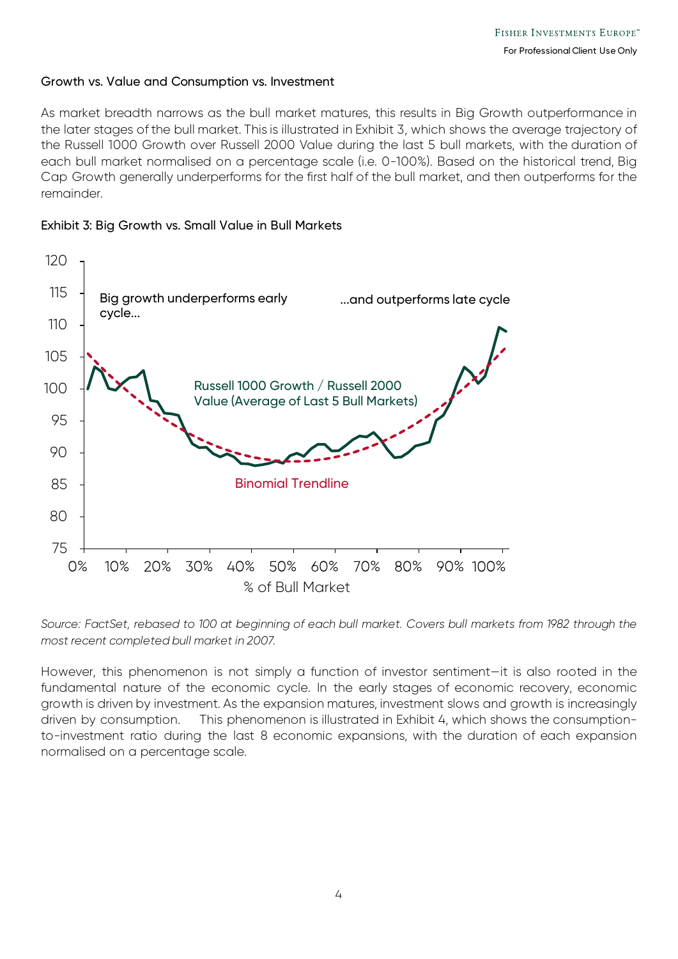#### Growth vs. Value and Consumption vs. Investment

As market breadth narrows as the bull market matures, this results in Big Growth outperformance in the later stages of the bull market. This is illustrated in Exhibit 3, which shows the average trajectory of the Russell 1000 Growth over Russell 2000 Value during the last 5 bull markets, with the duration of each bull market normalised on a percentage scale (i.e. 0-100%). Based on the historical trend, Big Cap Growth generally underperforms for the first half of the bull market, and then outperforms for the remainder.

#### Exhibit 3: Big Growth vs. Small Value in Bull Markets



*Source: FactSet, rebased to 100 at beginning of each bull market. Covers bull markets from 1982 through the most recent completed bull market in 2007.*

However, this phenomenon is not simply a function of investor sentiment—it is also rooted in the fundamental nature of the economic cycle. In the early stages of economic recovery, economic growth is driven by investment. As the expansion matures, investment slows and growth is increasingly driven by consumption. This phenomenon is illustrated in Exhibit 4, which shows the consumptionto-investment ratio during the last 8 economic expansions, with the duration of each expansion normalised on a percentage scale.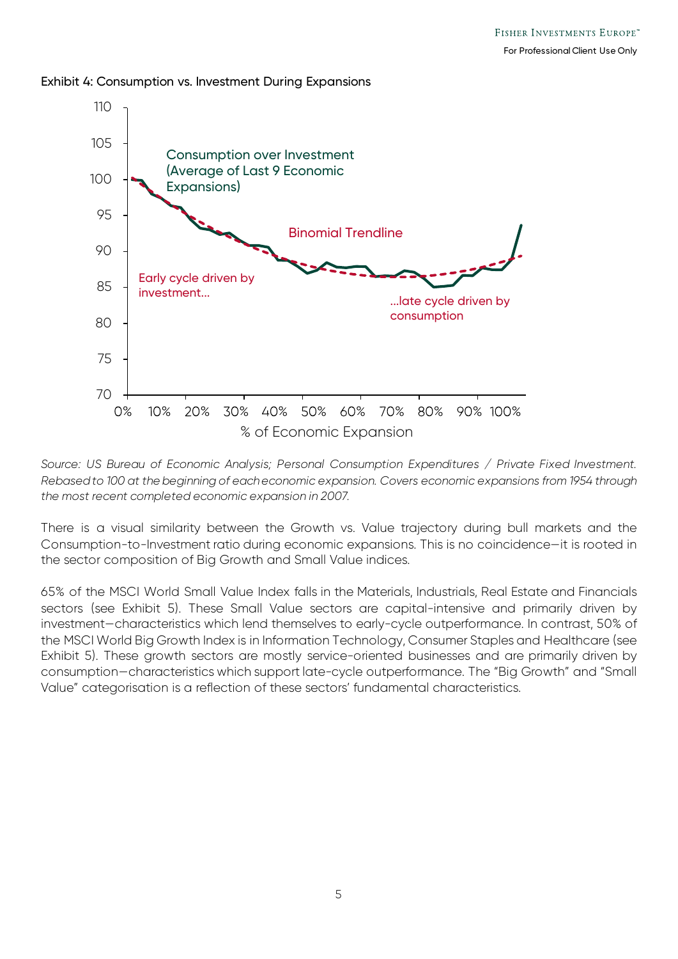#### Exhibit 4: Consumption vs. Investment During Expansions



*Source: US Bureau of Economic Analysis; Personal Consumption Expenditures / Private Fixed Investment. Rebased to 100 at the beginning of each economic expansion. Covers economic expansions from 1954 through the most recent completed economic expansion in 2007.*

There is a visual similarity between the Growth vs. Value trajectory during bull markets and the Consumption-to-Investment ratio during economic expansions. This is no coincidence—it is rooted in the sector composition of Big Growth and Small Value indices.

65% of the MSCI World Small Value Index falls in the Materials, Industrials, Real Estate and Financials sectors (see Exhibit 5). These Small Value sectors are capital-intensive and primarily driven by investment—characteristics which lend themselves to early-cycle outperformance. In contrast, 50% of the MSCI World Big Growth Index is in Information Technology, Consumer Staples and Healthcare (see Exhibit 5). These growth sectors are mostly service-oriented businesses and are primarily driven by consumption—characteristics which support late-cycle outperformance. The "Big Growth" and "Small Value" categorisation is a reflection of these sectors' fundamental characteristics.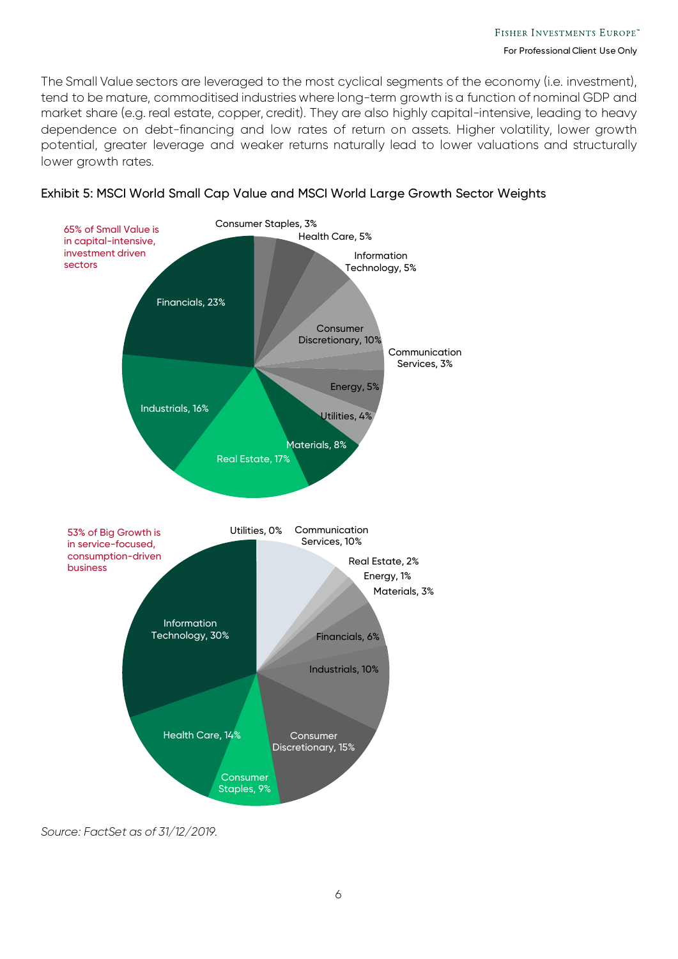The Small Value sectors are leveraged to the most cyclical segments of the economy (i.e. investment), tend to be mature, commoditised industries where long-term growth is a function of nominal GDP and market share (e.g. real estate, copper, credit). They are also highly capital-intensive, leading to heavy dependence on debt-financing and low rates of return on assets. Higher volatility, lower growth potential, greater leverage and weaker returns naturally lead to lower valuations and structurally lower growth rates.





*Source: FactSet as of 31/12/2019.*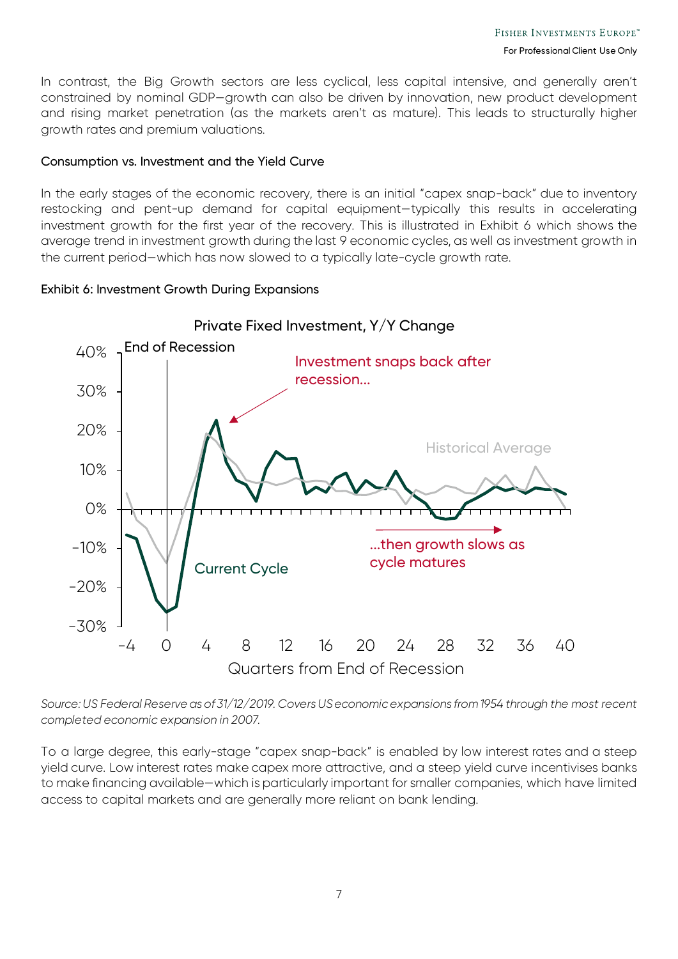In contrast, the Big Growth sectors are less cyclical, less capital intensive, and generally aren't constrained by nominal GDP—growth can also be driven by innovation, new product development and rising market penetration (as the markets aren't as mature). This leads to structurally higher growth rates and premium valuations.

#### Consumption vs. Investment and the Yield Curve

In the early stages of the economic recovery, there is an initial "capex snap-back" due to inventory restocking and pent-up demand for capital equipment—typically this results in accelerating investment growth for the first year of the recovery. This is illustrated in Exhibit 6 which shows the average trend in investment growth during the last 9 economic cycles, as well as investment growth in the current period—which has now slowed to a typically late-cycle growth rate.

#### Exhibit 6: Investment Growth During Expansions



*Source: US Federal Reserve as of 31/12/2019. Covers US economic expansions from 1954 through the most recent completed economic expansion in 2007.*

To a large degree, this early-stage "capex snap-back" is enabled by low interest rates and a steep yield curve. Low interest rates make capex more attractive, and a steep yield curve incentivises banks to make financing available—which is particularly important for smaller companies, which have limited access to capital markets and are generally more reliant on bank lending.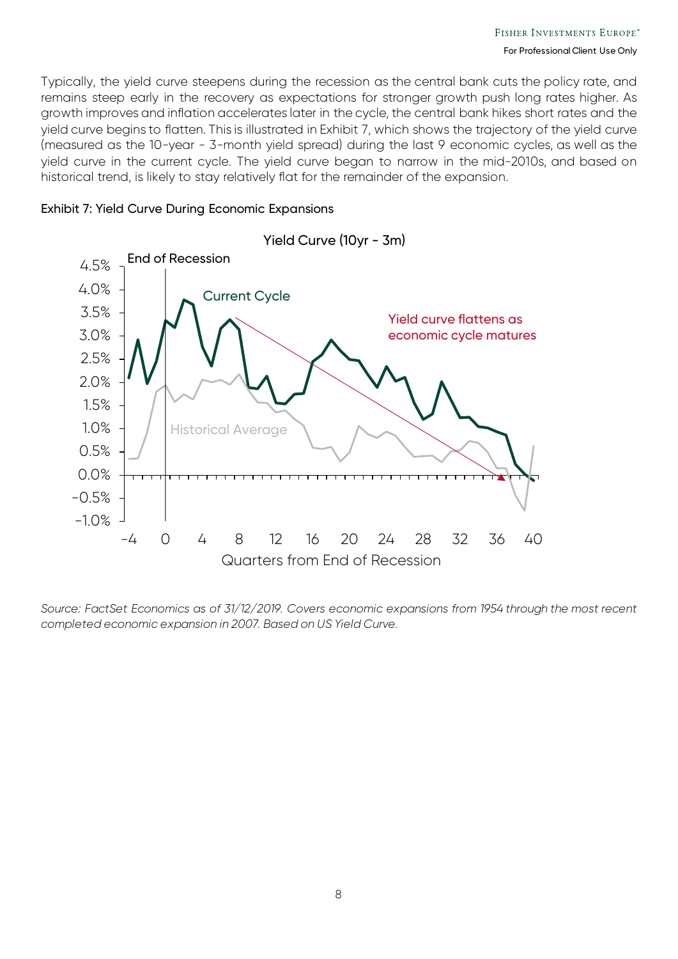Typically, the yield curve steepens during the recession as the central bank cuts the policy rate, and remains steep early in the recovery as expectations for stronger growth push long rates higher. As growth improves and inflation accelerates later in the cycle, the central bank hikes short rates and the yield curve begins to flatten. This is illustrated in Exhibit 7, which shows the trajectory of the yield curve (measured as the 10-year - 3-month yield spread) during the last 9 economic cycles, as well as the yield curve in the current cycle. The yield curve began to narrow in the mid-2010s, and based on historical trend, is likely to stay relatively flat for the remainder of the expansion.



#### Exhibit 7: Yield Curve During Economic Expansions

*Source: FactSet Economics as of 31/12/2019. Covers economic expansions from 1954 through the most recent completed economic expansion in 2007. Based on US Yield Curve.*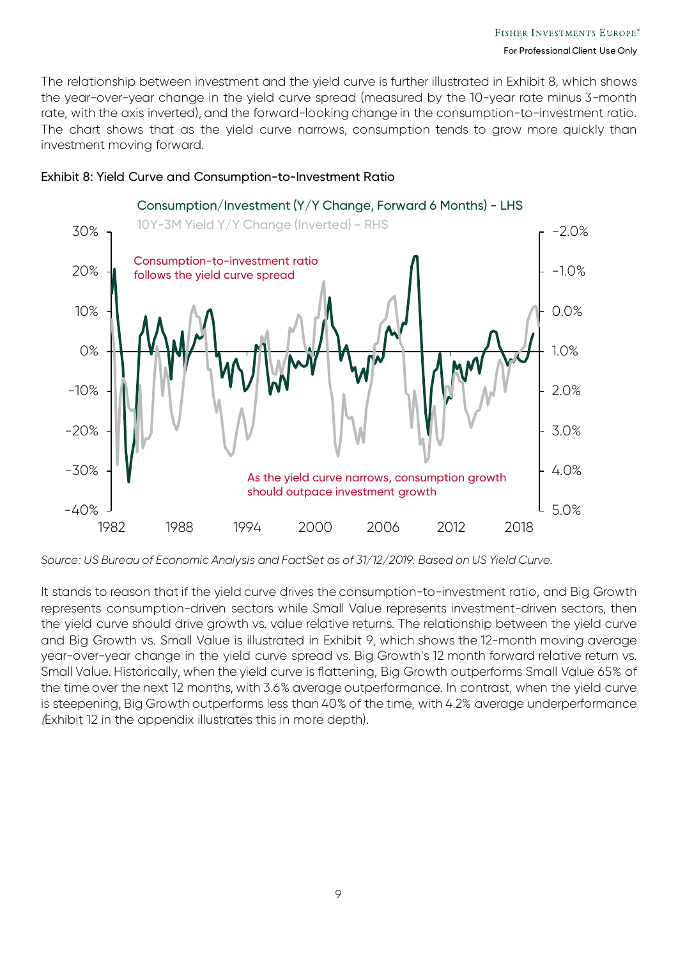The relationship between investment and the yield curve is further illustrated in Exhibit 8, which shows the year-over-year change in the yield curve spread (measured by the 10-year rate minus 3-month rate, with the axis inverted), and the forward-looking change in the consumption-to-investment ratio. The chart shows that as the yield curve narrows, consumption tends to grow more quickly than investment moving forward.



#### Exhibit 8: Yield Curve and Consumption-to-Investment Ratio

It stands to reason that if the yield curve drives the consumption-to-investment ratio, and Big Growth represents consumption-driven sectors while Small Value represents investment-driven sectors, then the yield curve should drive growth vs. value relative returns. The relationship between the yield curve and Big Growth vs. Small Value is illustrated in Exhibit 9, which shows the 12-month moving average year-over-year change in the yield curve spread vs. Big Growth's 12 month forward relative return vs. Small Value. Historically, when the yield curve is flattening, Big Growth outperforms Small Value 65% of the time over the next 12 months, with 3.6% average outperformance. In contrast, when the yield curve is steepening, Big Growth outperforms less than 40% of the time, with 4.2% average underperformance (Exhibit 12 in the appendix illustrates this in more depth).

*Source: US Bureau of Economic Analysis and FactSet as of 31/12/2019. Based on US Yield Curve.*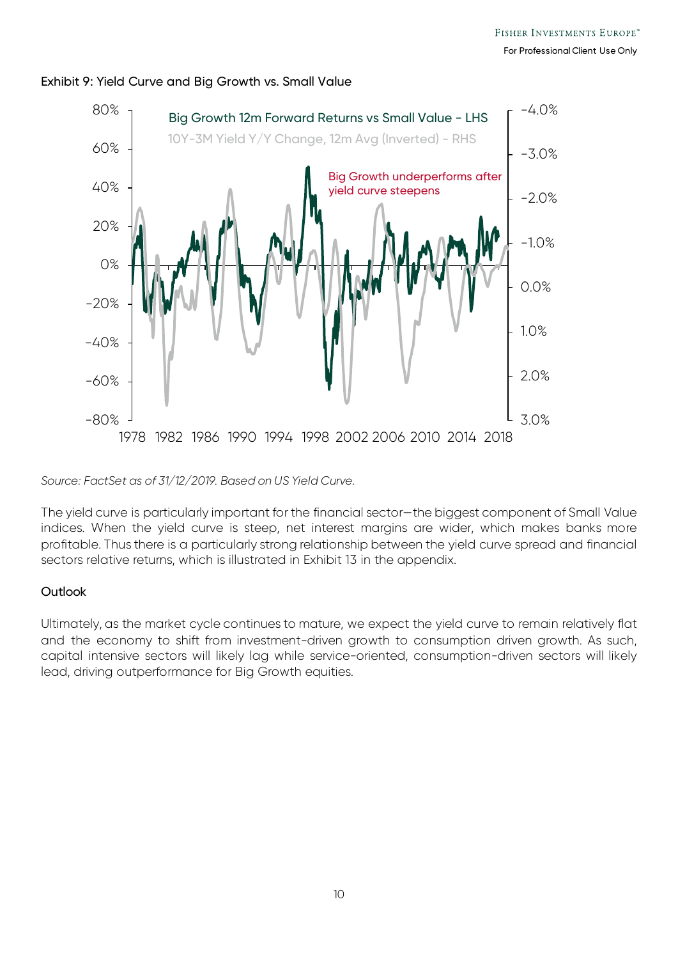

#### Exhibit 9: Yield Curve and Big Growth vs. Small Value

*Source: FactSet as of 31/12/2019. Based on US Yield Curve.*

The yield curve is particularly important for the financial sector—the biggest component of Small Value indices. When the yield curve is steep, net interest margins are wider, which makes banks more profitable. Thus there is a particularly strong relationship between the yield curve spread and financial sectors relative returns, which is illustrated in Exhibit 13 in the appendix.

#### **Outlook**

Ultimately, as the market cycle continues to mature, we expect the yield curve to remain relatively flat and the economy to shift from investment-driven growth to consumption driven growth. As such, capital intensive sectors will likely lag while service-oriented, consumption-driven sectors will likely lead, driving outperformance for Big Growth equities.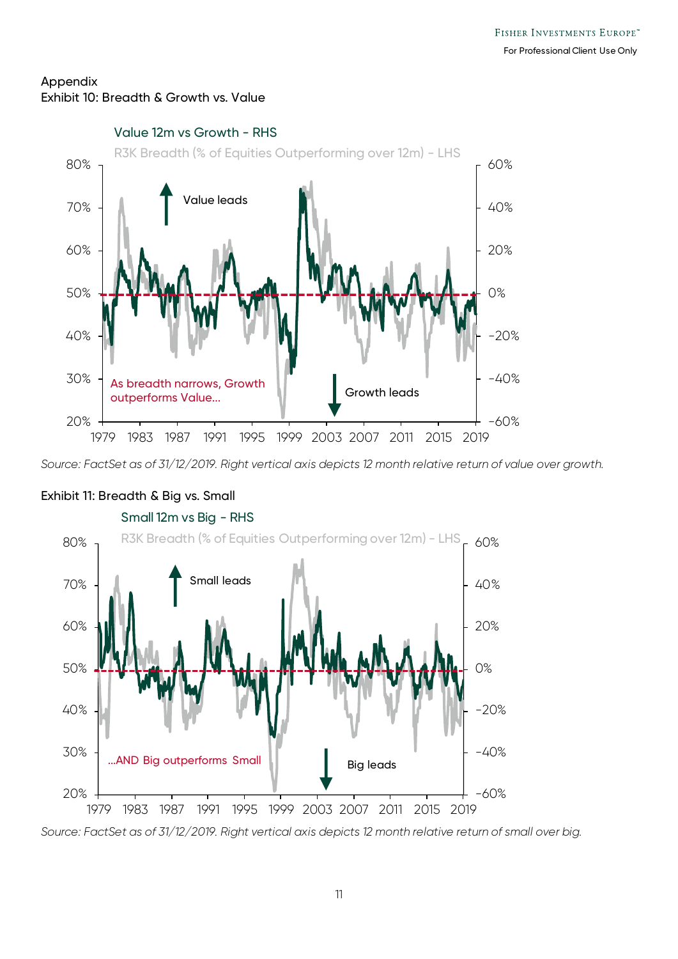### Appendix Exhibit 10: Breadth & Growth vs. Value



*Source: FactSet as of 31/12/2019. Right vertical axis depicts 12 month relative return of value over growth.*



## Exhibit 11: Breadth & Big vs. Small

*Source: FactSet as of 31/12/2019. Right vertical axis depicts 12 month relative return of small over big.*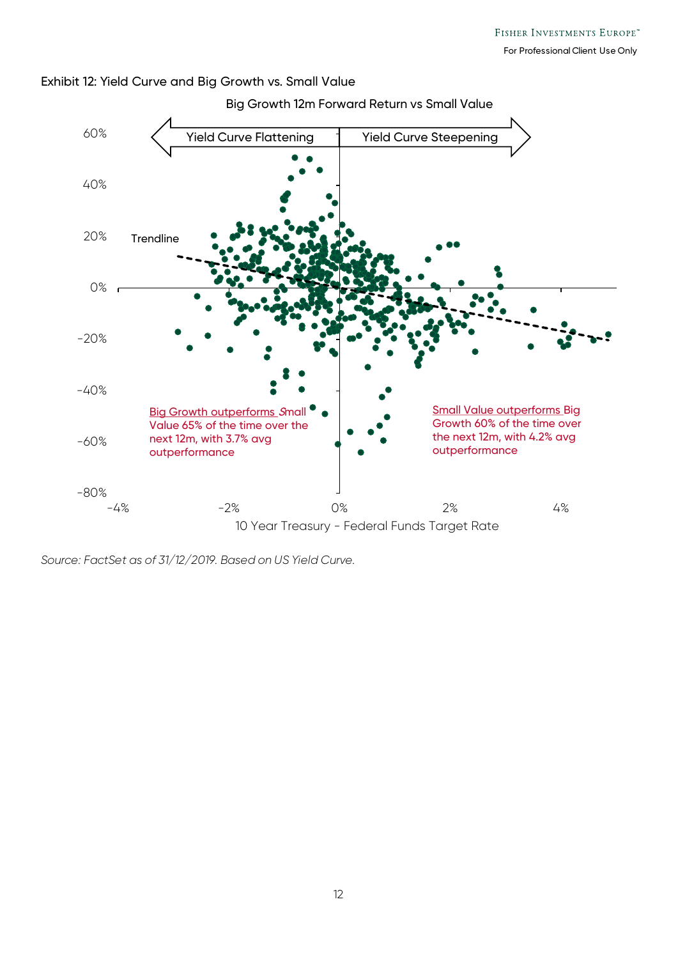

#### Exhibit 12: Yield Curve and Big Growth vs. Small Value

*Source: FactSet as of 31/12/2019. Based on US Yield Curve.*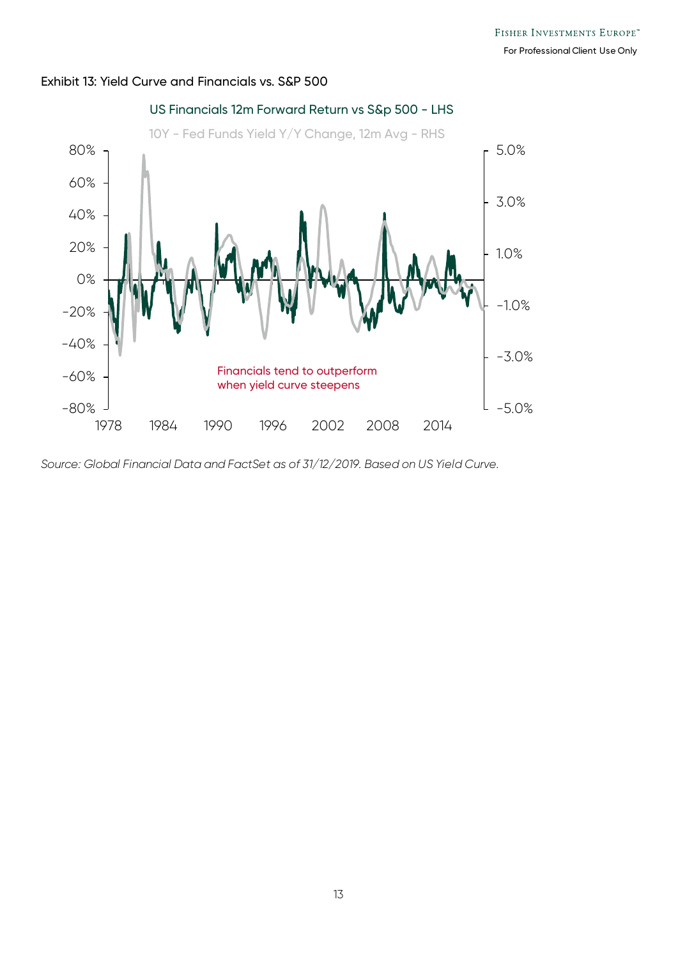

#### Exhibit 13: Yield Curve and Financials vs. S&P 500

*Source: Global Financial Data and FactSet as of 31/12/2019. Based on US Yield Curve.*